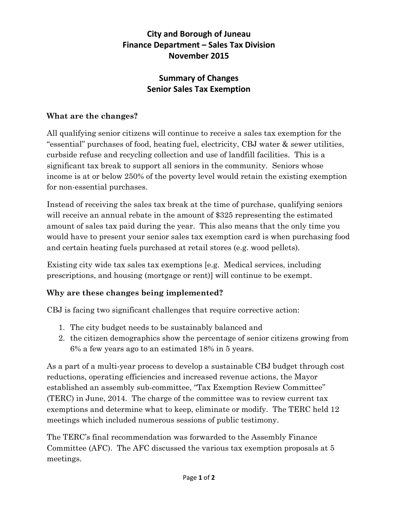# **City and Borough of Juneau Finance Department – Sales Tax Division November 2015**

## **Summary of Changes Senior Sales Tax Exemption**

### **What are the changes?**

All qualifying senior citizens will continue to receive a sales tax exemption for the "essential" purchases of food, heating fuel, electricity, CBJ water & sewer utilities, curbside refuse and recycling collection and use of landfill facilities. This is a significant tax break to support all seniors in the community. Seniors whose income is at or below 250% of the poverty level would retain the existing exemption for non-essential purchases.

Instead of receiving the sales tax break at the time of purchase, qualifying seniors will receive an annual rebate in the amount of \$325 representing the estimated amount of sales tax paid during the year. This also means that the only time you would have to present your senior sales tax exemption card is when purchasing food and certain heating fuels purchased at retail stores (e.g. wood pellets).

Existing city wide tax sales tax exemptions [e.g. Medical services, including prescriptions, and housing (mortgage or rent)] will continue to be exempt.

#### **Why are these changes being implemented?**

CBJ is facing two significant challenges that require corrective action:

- 1. The city budget needs to be sustainably balanced and
- 2. the citizen demographics show the percentage of senior citizens growing from 6% a few years ago to an estimated 18% in 5 years.

As a part of a multi-year process to develop a sustainable CBJ budget through cost reductions, operating efficiencies and increased revenue actions, the Mayor established an assembly sub-committee, "Tax Exemption Review Committee" (TERC) in June, 2014. The charge of the committee was to review current tax exemptions and determine what to keep, eliminate or modify. The TERC held 12 meetings which included numerous sessions of public testimony.

The TERC's final recommendation was forwarded to the Assembly Finance Committee (AFC). The AFC discussed the various tax exemption proposals at 5 meetings.